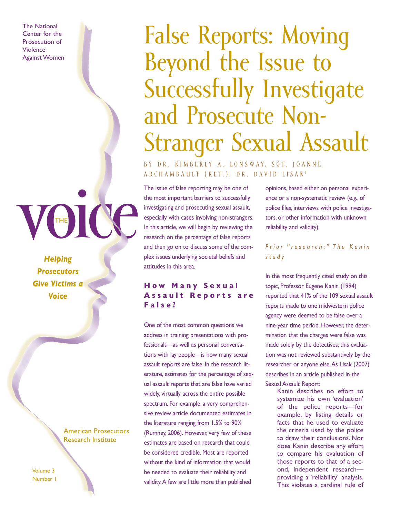The National Center for the Prosecution of Violence Against Women

# False Reports: Moving Beyond the Issue to Successfully Investigate and Prosecute Non-Stranger Sexual Assault

BY DR. KIMBERLY A. LONSWAY, SGT. JOANNE A R C H A M B A U L T ( R E T . ) , D R . D A V I D L I S A K <sup>1</sup>

The issue of false reporting may be one of the most important barriers to successfully investigating and prosecuting sexual assault, especially with cases involving non-strangers. In this article, we will begin by reviewing the research on the percentage of false reports and then go on to discuss some of the complex issues underlying societal beliefs and attitudes in this area.

#### **H o w M a n y S e x u a l Assault Reports are F a l s e ?**

One of the most common questions we address in training presentations with professionals—as well as personal conversations with lay people—is how many sexual assault reports are false. In the research literature, estimates for the percentage of sexual assault reports that are false have varied widely, virtually across the entire possible spectrum. For example, a very comprehensive review article documented estimates in the literature ranging from 1.5% to 90% (Rumney, 2006). However, very few of these estimates are based on research that could be considered credible. Most are reported without the kind of information that would be needed to evaluate their reliability and validity. A few are little more than published

opinions, based either on personal experience or a non-systematic review (e.g., of police files, interviews with police investigators, or other information with unknown reliability and validity).

*P r i o r " r e s e a r c h : " T h e K a n i n s t u d y*

In the most frequently cited study on this topic, Professor Eugene Kanin (1994) reported that 41% of the 109 sexual assault reports made to one midwestern police agency were deemed to be false over a nine-year time period. However, the determination that the charges were false was made solely by the detectives; this evaluation was not reviewed substantively by the researcher or anyone else. As Lisak (2007) describes in an article published in the Sexual Assault Report:

Kanin describes no effort to systemize his own 'evaluation' of the police reports—for example, by listing details or facts that he used to evaluate the criteria used by the police to draw their conclusions. Nor does Kanin describe any effort to compare his evaluation of those reports to that of a second, independent research providing a 'reliability' analysis. This violates a cardinal rule of

Voice *Helping Prosecutors Give Victims a Voice*

THE

#### American Prosecutors Research Institute

Volume 3 Number 1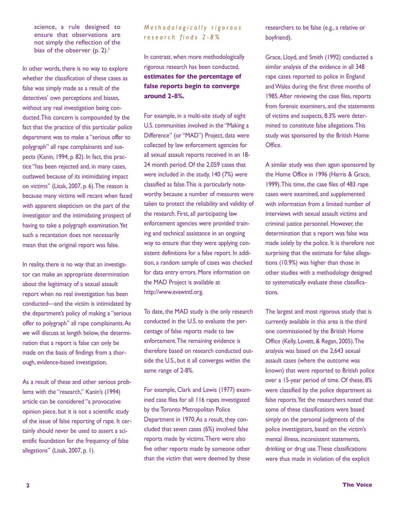science, a rule designed to ensure that observations are not simply the reflection of the bias of the observer  $(p, 2)$ .<sup>2</sup>

In other words, there is no way to explore whether the classification of these cases as false was simply made as a result of the detectives' own perceptions and biases, without any real investigation being conducted. This concern is compounded by the fact that the practice of this particular police department was to make a "serious offer to polygraph" all rape complainants and suspects (Kanin, 1994, p. 82). In fact, this practice "has been rejected and, in many cases, outlawed because of its intimidating impact on victims" (Lisak, 2007, p. 6). The reason is because many victims will recant when faced with apparent skepticism on the part of the investigator and the intimidating prospect of having to take a polygraph examination. Yet such a recantation does not necessarily mean that the original report was false.

In reality, there is no way that an investigator can make an appropriate determination about the legitimacy of a sexual assault report when no real investigation has been conducted—and the victim is intimidated by the department's policy of making a "serious offer to polygraph" all rape complainants. As we will discuss at length below, the determination that a report is false can only be made on the basis of findings from a thorough, evidence-based investigation.

As a result of these and other serious problems with the "research," Kanin's (1994) article can be considered "a provocative opinion piece, but it is not a scientific study of the issue of false reporting of rape. It certainly should never be used to assert a scientific foundation for the frequency of false allegations" (Lisak, 2007, p. 1).

#### *M e t h o d o l o g i c a l l y r i g o r o u s r e s e a r c h f i n d s 2 - 8 %*

In contrast, when more methodologically rigorous research has been conducted, **estimates for the percentage of false reports begin to converge around 2-8%.**

For example, in a multi-site study of eight U.S. communities involved in the "Making a Difference" (or "MAD") Project, data were collected by law enforcement agencies for all sexual assault reports received in an 18- 24 month period. Of the 2,059 cases that were included in the study, 140 (7%) were classified as false. This is particularly noteworthy because a number of measures were taken to protect the reliability and validity of the research. First, all participating law enforcement agencies were provided training and technical assistance in an ongoing way to ensure that they were applying consistent definitions for a false report. In addition, a random sample of cases was checked for data entry errors. More information on the MAD Project is available at http://www.evawintl.org.

To date, the MAD study is the only research conducted in the U.S. to evaluate the percentage of false reports made to law enforcement. The remaining evidence is therefore based on research conducted outside the U.S., but it all converges within the same range of 2-8%.

For example, Clark and Lewis (1977) examined case files for all 116 rapes investigated by the Toronto Metropolitan Police Department in 1970. As a result, they concluded that seven cases (6%) involved false reports made by victims. There were also five other reports made by someone other than the victim that were deemed by these

researchers to be false (e.g., a relative or boyfriend).

Grace, Lloyd, and Smith (1992) conducted a similar analysis of the evidence in all 348 rape cases reported to police in England and Wales during the first three months of 1985. After reviewing the case files, reports from forensic examiners, and the statements of victims and suspects, 8.3% were determined to constitute false allegations. This study was sponsored by the British Home Office.

A similar study was then again sponsored by the Home Office in 1996 (Harris & Grace, 1999). This time, the case files of 483 rape cases were examined, and supplemented with information from a limited number of interviews with sexual assault victims and criminal justice personnel. However, the determination that a report was false was made solely by the police. It is therefore not surprising that the estimate for false allegations (10.9%) was higher than those in other studies with a methodology designed to systematically evaluate these classifications.

The largest and most rigorous study that is currently available in this area is the third one commissioned by the British Home Office (Kelly, Lovett, & Regan, 2005). The analysis was based on the 2,643 sexual assault cases (where the outcome was known) that were reported to British police over a 15-year period of time. Of these, 8% were classified by the police department as false reports. Yet the researchers noted that some of these classifications were based simply on the personal judgments of the police investigators, based on the victim's mental illness, inconsistent statements, drinking or drug use. These classifications were thus made in violation of the explicit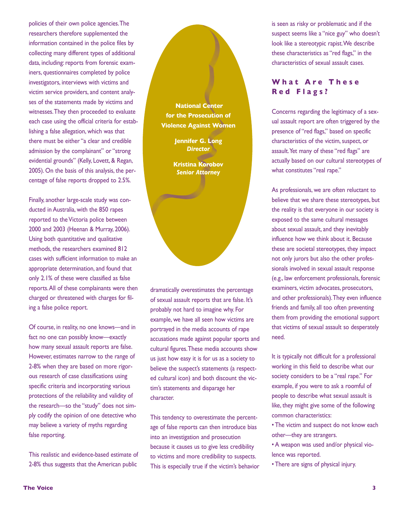policies of their own police agencies. The researchers therefore supplemented the information contained in the police files by collecting many different types of additional data, including: reports from forensic examiners, questionnaires completed by police investigators, interviews with victims and victim service providers, and content analyses of the statements made by victims and witnesses. They then proceeded to evaluate each case using the official criteria for establishing a false allegation, which was that there must be either "a clear and credible admission by the complainant" or "strong evidential grounds" (Kelly, Lovett, & Regan, 2005). On the basis of this analysis, the percentage of false reports dropped to 2.5%.

Finally, another large-scale study was conducted in Australia, with the 850 rapes reported to the Victoria police between 2000 and 2003 (Heenan & Murray, 2006). Using both quantitative and qualitative methods, the researchers examined 812 cases with sufficient information to make an appropriate determination, and found that only 2.1% of these were classified as false reports. All of these complainants were then charged or threatened with charges for filing a false police report.

Of course, in reality, no one knows—and in fact no one can possibly know—exactly how many sexual assault reports are false. However, estimates narrow to the range of 2-8% when they are based on more rigorous research of case classifications using specific criteria and incorporating various protections of the reliability and validity of the research—so the "study" does not simply codify the opinion of one detective who may believe a variety of myths regarding false reporting.

This realistic and evidence-based estimate of 2-8% thus suggests that the American public

**National Center for the Prosecution of Violence Against Women**

> **Jennifer G. Long**  *Director*

**Kristina Korobov** *Senior Attorney*

dramatically overestimates the percentage of sexual assault reports that are false. It's probably not hard to imagine why. For example, we have all seen how victims are portrayed in the media accounts of rape accusations made against popular sports and cultural figures. These media accounts show us just how easy it is for us as a society to believe the suspect's statements (a respected cultural icon) and both discount the victim's statements and disparage her character.

This tendency to overestimate the percentage of false reports can then introduce bias into an investigation and prosecution because it causes us to give less credibility to victims and more credibility to suspects. This is especially true if the victim's behavior is seen as risky or problematic and if the suspect seems like a "nice guy" who doesn't look like a stereotypic rapist. We describe these characteristics as "red flags," in the characteristics of sexual assault cases.

#### **What Are These R e d F l a g s ?**

Concerns regarding the legitimacy of a sexual assault report are often triggered by the presence of "red flags," based on specific characteristics of the victim, suspect, or assault. Yet many of these "red flags" are actually based on our cultural stereotypes of what constitutes "real rape."

As professionals, we are often reluctant to believe that we share these stereotypes, but the reality is that everyone in our society is exposed to the same cultural messages about sexual assault, and they inevitably influence how we think about it. Because these are societal stereotypes, they impact not only jurors but also the other professionals involved in sexual assault response (e.g., law enforcement professionals, forensic examiners, victim advocates, prosecutors, and other professionals). They even influence friends and family, all too often preventing them from providing the emotional support that victims of sexual assault so desperately need.

It is typically not difficult for a professional working in this field to describe what our society considers to be a "real rape." For example, if you were to ask a roomful of people to describe what sexual assault is like, they might give some of the following common characteristics:

• The victim and suspect do not know each other—they are strangers.

- A weapon was used and/or physical violence was reported.
- There are signs of physical injury.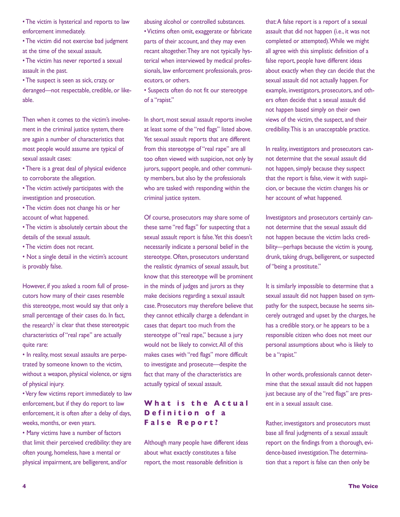• The victim is hysterical and reports to law enforcement immediately.

• The victim did not exercise bad judgment at the time of the sexual assault.

• The victim has never reported a sexual assault in the past.

• The suspect is seen as sick, crazy, or deranged—not respectable, credible, or likeable.

Then when it comes to the victim's involvement in the criminal justice system, there are again a number of characteristics that most people would assume are typical of sexual assault cases:

- There is a great deal of physical evidence to corroborate the allegation.
- The victim actively participates with the investigation and prosecution.

• The victim does not change his or her account of what happened.

- The victim is absolutely certain about the details of the sexual assault.
- The victim does not recant.
- Not a single detail in the victim's account is provably false.

However, if you asked a room full of prosecutors how many of their cases resemble this stereotype, most would say that only a small percentage of their cases do. In fact, the research $3$  is clear that these stereotypic characteristics of "real rape" are actually quite rare:

• In reality, most sexual assaults are perpetrated by someone known to the victim, without a weapon, physical violence, or signs of physical injury.

• Very few victims report immediately to law enforcement, but if they do report to law enforcement, it is often after a delay of days, weeks, months, or even years.

• Many victims have a number of factors that limit their perceived credibility: they are often young, homeless, have a mental or physical impairment, are belligerent, and/or

abusing alcohol or controlled substances.

• Victims often omit, exaggerate or fabricate parts of their account, and they may even recant altogether. They are not typically hysterical when interviewed by medical professionals, law enforcement professionals, prosecutors, or others.

• Suspects often do not fit our stereotype of a "rapist."

In short, most sexual assault reports involve at least some of the "red flags" listed above. Yet sexual assault reports that are different from this stereotype of "real rape" are all too often viewed with suspicion, not only by jurors, support people, and other community members, but also by the professionals who are tasked with responding within the criminal justice system.

Of course, prosecutors may share some of these same "red flags" for suspecting that a sexual assault report is false. Yet this doesn't necessarily indicate a personal belief in the stereotype. Often, prosecutors understand the realistic dynamics of sexual assault, but know that this stereotype will be prominent in the minds of judges and jurors as they make decisions regarding a sexual assault case. Prosecutors may therefore believe that they cannot ethically charge a defendant in cases that depart too much from the stereotype of "real rape," because a jury would not be likely to convict. All of this makes cases with "red flags" more difficult to investigate and prosecute—despite the fact that many of the characteristics are actually typical of sexual assault.

#### **What is the Actual D e f i n i t i o n o f a F a l s e R e p o r t ?**

Although many people have different ideas about what exactly constitutes a false report, the most reasonable definition is

that: A false report is a report of a sexual assault that did not happen (i.e., it was not completed or attempted). While we might all agree with this simplistic definition of a false report, people have different ideas about exactly when they can decide that the sexual assault did not actually happen. For example, investigators, prosecutors, and others often decide that a sexual assault did not happen based simply on their own views of the victim, the suspect, and their credibility. This is an unacceptable practice.

In reality, investigators and prosecutors cannot determine that the sexual assault did not happen, simply because they suspect that the report is false, view it with suspicion, or because the victim changes his or her account of what happened.

Investigators and prosecutors certainly cannot determine that the sexual assault did not happen because the victim lacks credibility—perhaps because the victim is young, drunk, taking drugs, belligerent, or suspected of "being a prostitute."

It is similarly impossible to determine that a sexual assault did not happen based on sympathy for the suspect, because he seems sincerely outraged and upset by the charges, he has a credible story, or he appears to be a responsible citizen who does not meet our personal assumptions about who is likely to be a "rapist."

In other words, professionals cannot determine that the sexual assault did not happen just because any of the "red flags" are present in a sexual assault case.

Rather, investigators and prosecutors must base all final judgments of a sexual assault report on the findings from a thorough, evidence-based investigation. The determination that a report is false can then only be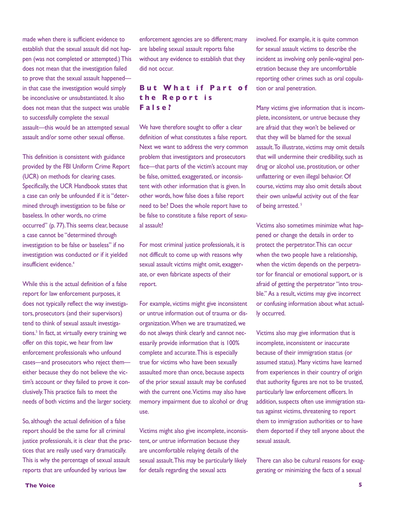made when there is sufficient evidence to establish that the sexual assault did not happen (was not completed or attempted.) This does not mean that the investigation failed to prove that the sexual assault happened in that case the investigation would simply be inconclusive or unsubstantiated. It also does not mean that the suspect was unable to successfully complete the sexual assault—this would be an attempted sexual assault and/or some other sexual offense.

This definition is consistent with guidance provided by the FBI Uniform Crime Report (UCR) on methods for clearing cases. Specifically, the UCR Handbook states that a case can only be unfounded if it is "determined through investigation to be false or baseless. In other words, no crime occurred" (p. 77). This seems clear, because a case cannot be "determined through investigation to be false or baseless" if no investigation was conducted or if it yielded insufficient evidence.4

While this is the actual definition of a false report for law enforcement purposes, it does not typically reflect the way investigators, prosecutors (and their supervisors) tend to think of sexual assault investigations.<sup>5</sup> In fact, at virtually every training we offer on this topic, we hear from law enforcement professionals who unfound cases—and prosecutors who reject them either because they do not believe the victim's account or they failed to prove it conclusively. This practice fails to meet the needs of both victims and the larger society.

So, although the actual definition of a false report should be the same for all criminal justice professionals, it is clear that the practices that are really used vary dramatically. This is why the percentage of sexual assault reports that are unfounded by various law

enforcement agencies are so different; many are labeling sexual assault reports false without any evidence to establish that they did not occur.

#### **But What if Part of t h e R e p o r t i s F a l s e ?**

We have therefore sought to offer a clear definition of what constitutes a false report. Next we want to address the very common problem that investigators and prosecutors face—that parts of the victim's account may be false, omitted, exaggerated, or inconsistent with other information that is given. In other words, how false does a false report need to be? Does the whole report have to be false to constitute a false report of sexual assault?

For most criminal justice professionals, it is not difficult to come up with reasons why sexual assault victims might omit, exaggerate, or even fabricate aspects of their report.

For example, victims might give inconsistent or untrue information out of trauma or disorganization. When we are traumatized, we do not always think clearly and cannot necessarily provide information that is 100% complete and accurate. This is especially true for victims who have been sexually assaulted more than once, because aspects of the prior sexual assault may be confused with the current one. Victims may also have memory impairment due to alcohol or drug use.

Victims might also give incomplete, inconsistent, or untrue information because they are uncomfortable relaying details of the sexual assault. This may be particularly likely for details regarding the sexual acts

involved. For example, it is quite common for sexual assault victims to describe the incident as involving only penile-vaginal penetration because they are uncomfortable reporting other crimes such as oral copulation or anal penetration.

Many victims give information that is incomplete, inconsistent, or untrue because they are afraid that they won't be believed or that they will be blamed for the sexual assault. To illustrate, victims may omit details that will undermine their credibility, such as drug or alcohol use, prostitution, or other unflattering or even illegal behavior. Of course, victims may also omit details about their own unlawful activity out of the fear of being arrested.<sup>5</sup>

Victims also sometimes minimize what happened or change the details in order to protect the perpetrator. This can occur when the two people have a relationship, when the victim depends on the perpetrator for financial or emotional support, or is afraid of getting the perpetrator "into trouble." As a result, victims may give incorrect or confusing information about what actually occurred.

Victims also may give information that is incomplete, inconsistent or inaccurate because of their immigration status (or assumed status). Many victims have learned from experiences in their country of origin that authority figures are not to be trusted, particularly law enforcement officers. In addition, suspects often use immigration status against victims, threatening to report them to immigration authorities or to have them deported if they tell anyone about the sexual assault.

There can also be cultural reasons for exaggerating or minimizing the facts of a sexual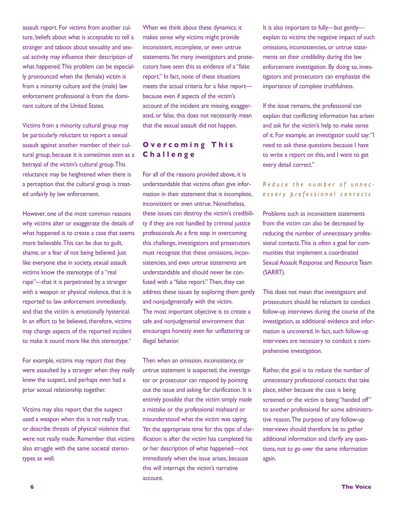assault report. For victims from another culture, beliefs about what is acceptable to tell a stranger and taboos about sexuality and sexual activity may influence their description of what happened. This problem can be especially pronounced when the (female) victim is from a minority culture and the (male) law enforcement professional is from the dominant culture of the United States.

Victims from a minority cultural group may be particularly reluctant to report a sexual assault against another member of their cultural group, because it is sometimes seen as a betrayal of the victim's cultural group. This reluctance may be heightened when there is a perception that the cultural group is treated unfairly by law enforcement.

However, one of the most common reasons why victims alter or exaggerate the details of what happened is to create a case that seems more believable. This can be due to guilt, shame, or a fear of not being believed. Just like everyone else in society, sexual assault victims know the stereotype of a "real rape"—that it is perpetrated by a stranger with a weapon or physical violence, that it is reported to law enforcement immediately, and that the victim is emotionally hysterical. In an effort to be believed, therefore, victims may change aspects of the reported incident to make it sound more like this stereotype.<sup>6</sup>

For example, victims may report that they were assaulted by a stranger when they really knew the suspect, and perhaps even had a prior sexual relationship together.

Victims may also report that the suspect used a weapon when this is not really true, or describe threats of physical violence that were not really made. Remember that victims also struggle with the same societal stereotypes as well.

When we think about these dynamics, it makes sense why victims might provide inconsistent, incomplete, or even untrue statements. Yet many investigators and prosecutors have seen this as evidence of a "false report." In fact, none of these situations meets the actual criteria for a false report because even if aspects of the victim's account of the incident are missing, exaggerated, or false, this does not necessarily mean that the sexual assault did not happen.

#### **O v e r c o m i n g T h i s C h a l l e n g e**

For all of the reasons provided above, it is understandable that victims often give information in their statement that is incomplete, inconsistent or even untrue. Nonetheless, these issues can destroy the victim's credibility if they are not handled by criminal justice professionals. As a first step in overcoming this challenge, investigators and prosecutors must recognize that these omissions, inconsistencies, and even untrue statements are understandable and should never be confused with a "false report." Then, they can address these issues by exploring them gently and nonjudgmentally with the victim. The most important objective is to create a safe and nonjudgmental environment that encourages honesty even for unflattering or illegal behavior.

Then when an omission, inconsistency, or untrue statement is suspected, the investigator or prosecutor can respond by pointing out the issue and asking for clarification. It is entirely possible that the victim simply made a mistake or the professional misheard or misunderstood what the victim was saying. Yet the appropriate time for this type of clarification is after the victim has completed his or her description of what happened—not immediately when the issue arises, because this will interrupt the victim's narrative account.

It is also important to fully—but gently explain to victims the negative impact of such omissions, inconsistencies, or untrue statements on their credibility during the law enforcement investigation. By doing so, investigators and prosecutors can emphasize the importance of complete truthfulness.

If the issue remains, the professional can explain that conflicting information has arisen and ask for the victim's help to make sense of it. For example, an investigator could say: "I need to ask these questions because I have to write a report on this, and I want to get every detail correct."

#### *R e d u c e t h e n u m b e r o f u n n e c e s s a r y p r o f e s s i o n a l c o n t a c t s*

Problems such as inconsistent statements from the victim can also be decreased by reducing the number of unnecessary professional contacts. This is often a goal for communities that implement a coordinated Sexual Assault Response and Resource Team (SARRT).

This does not mean that investigators and prosecutors should be reluctant to conduct follow-up interviews during the course of the investigation, as additional evidence and information is uncovered. In fact, such follow-up interviews are necessary to conduct a comprehensive investigation.

Rather, the goal is to reduce the number of unnecessary professional contacts that take place, either because the case is being screened or the victim is being "handed off" to another professional for some administrative reason. The purpose of any follow-up interviews should therefore be to gather additional information and clarify any questions, not to go over the same information again.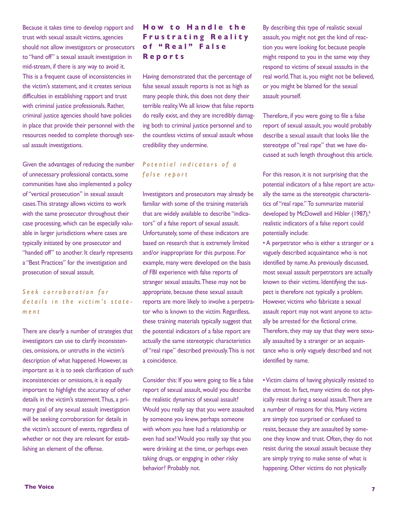Because it takes time to develop rapport and trust with sexual assault victims, agencies should not allow investigators or prosecutors to "hand off" a sexual assault investigation in mid-stream, if there is any way to avoid it. This is a frequent cause of inconsistencies in the victim's statement, and it creates serious difficulties in establishing rapport and trust with criminal justice professionals. Rather, criminal justice agencies should have policies in place that provide their personnel with the resources needed to complete thorough sexual assault investigations.

Given the advantages of reducing the number of unnecessary professional contacts, some communities have also implemented a policy of "vertical prosecution" in sexual assault cases. This strategy allows victims to work with the same prosecutor throughout their case processing, which can be especially valuable in larger jurisdictions where cases are typically initiated by one prosecutor and "handed off" to another. It clearly represents a "Best Practices" for the investigation and prosecution of sexual assault.

#### *S e e k c o r r o b o r a t i o n f o r d* e t a ils in the victim's state*m e n t*

There are clearly a number of strategies that investigators can use to clarify inconsistencies, omissions, or untruths in the victim's description of what happened. However, as important as it is to seek clarification of such inconsistencies or omissions, it is equally important to highlight the accuracy of other details in the victim's statement. Thus, a primary goal of any sexual assault investigation will be seeking corroboration for details in the victim's account of events, regardless of whether or not they are relevant for establishing an element of the offense.

#### **How to Handle the F r u s t r a t i n g R e a l i t y o f " R e a l " F a l s e R e p o r t s**

Having demonstrated that the percentage of false sexual assault reports is not as high as many people think, this does not deny their terrible reality. We all know that false reports do really exist, and they are incredibly damaging both to criminal justice personnel and to the countless victims of sexual assault whose credibility they undermine.

#### *P o t e n t i a l i n d i c a t o r s o f a f a l s e r e p o r t*

Investigators and prosecutors may already be familiar with some of the training materials that are widely available to describe "indicators" of a false report of sexual assault. Unfortunately, some of these indicators are based on research that is extremely limited and/or inappropriate for this purpose. For example, many were developed on the basis of FBI experience with false reports of stranger sexual assaults. These may not be appropriate, because these sexual assault reports are more likely to involve a perpetrator who is known to the victim. Regardless, these training materials typically suggest that the potential indicators of a false report are actually the same stereotypic characteristics of "real rape" described previously. This is not a coincidence.

Consider this: If you were going to file a false report of sexual assault, would you describe the realistic dynamics of sexual assault? Would you really say that you were assaulted by someone you knew, perhaps someone with whom you have had a relationship or even had sex? Would you really say that you were drinking at the time, or perhaps even taking drugs, or engaging in other risky behavior? Probably not.

By describing this type of realistic sexual assault, you might not get the kind of reaction you were looking for, because people might respond to you in the same way they respond to victims of sexual assaults in the real world. That is, you might not be believed, or you might be blamed for the sexual assault yourself.

Therefore, if you were going to file a false report of sexual assault, you would probably describe a sexual assault that looks like the stereotype of "real rape" that we have discussed at such length throughout this article.

For this reason, it is not surprising that the potential indicators of a false report are actually the same as the stereotypic characteristics of "real rape." To summarize material developed by McDowell and Hibler (1987),<sup>8</sup> realistic indicators of a false report could potentially include:

• A perpetrator who is either a stranger or a vaguely described acquaintance who is not identified by name. As previously discussed, most sexual assault perpetrators are actually known to their victims. Identifying the suspect is therefore not typically a problem. However, victims who fabricate a sexual assault report may not want anyone to actually be arrested for the fictional crime. Therefore, they may say that they were sexually assaulted by a stranger or an acquaintance who is only vaguely described and not identified by name.

• Victim claims of having physically resisted to the utmost. In fact, many victims do not physically resist during a sexual assault. There are a number of reasons for this. Many victims are simply too surprised or confused to resist, because they are assaulted by someone they know and trust. Often, they do not resist during the sexual assault because they are simply trying to make sense of what is happening. Other victims do not physically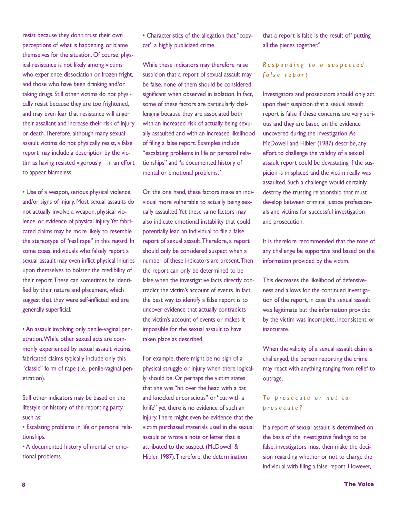resist because they don't trust their own perceptions of what is happening, or blame themselves for the situation. Of course, physical resistance is not likely among victims who experience dissociation or frozen fright, and those who have been drinking and/or taking drugs. Still other victims do not physically resist because they are too frightened, and may even fear that resistance will anger their assailant and increase their risk of injury or death. Therefore, although many sexual assault victims do not physically resist, a false report may include a description by the victim as having resisted vigorously—in an effort to appear blameless.

• Use of a weapon, serious physical violence, and/or signs of injury. Most sexual assaults do not actually involve a weapon, physical violence, or evidence of physical injury. Yet fabricated claims may be more likely to resemble the stereotype of "real rape" in this regard. In some cases, individuals who falsely report a sexual assault may even inflict physical injuries upon themselves to bolster the credibility of their report. These can sometimes be identified by their nature and placement, which suggest that they were self-inflicted and are generally superficial.

• An assault involving only penile-vaginal penetration. While other sexual acts are commonly experienced by sexual assault victims, fabricated claims typically include only this "classic" form of rape (i.e., penile-vaginal penetration).

Still other indicators may be based on the lifestyle or history of the reporting party, such as:

• Escalating problems in life or personal relationships.

• A documented history of mental or emotional problems.

• Characteristics of the allegation that "copycat" a highly publicized crime.

While these indicators may therefore raise suspicion that a report of sexual assault may be false, none of them should be considered significant when observed in isolation. In fact, some of these factors are particularly challenging because they are associated both with an increased risk of actually being sexually assaulted and with an increased likelihood of filing a false report. Examples include "escalating problems in life or personal relationships" and "a documented history of mental or emotional problems."

On the one hand, these factors make an individual more vulnerable to actually being sexually assaulted. Yet these same factors may also indicate emotional instability that could potentially lead an individual to file a false report of sexual assault. Therefore, a report should only be considered suspect when a number of these indicators are present. Then the report can only be determined to be false when the investigative facts directly contradict the victim's account of events. In fact, the best way to identify a false report is to uncover evidence that actually contradicts the victim's account of events or makes it impossible for the sexual assault to have taken place as described.

For example, there might be no sign of a physical struggle or injury when there logically should be. Or perhaps the victim states that she was "hit over the head with a bat and knocked unconscious" or "cut with a knife" yet there is no evidence of such an injury. There might even be evidence that the victim purchased materials used in the sexual assault or wrote a note or letter that is attributed to the suspect (McDowell & Hibler, 1987). Therefore, the determination

that a report is false is the result of "putting all the pieces together."

#### *R e s p o n d i n g t o a s u s p e c t e d f a l s e r e p o r t*

Investigators and prosecutors should only act upon their suspicion that a sexual assault report is false if these concerns are very serious and they are based on the evidence uncovered during the investigation. As McDowell and Hibler (1987) describe, any effort to challenge the validity of a sexual assault report could be devastating if the suspicion is misplaced and the victim really was assaulted. Such a challenge would certainly destroy the trusting relationship that must develop between criminal justice professionals and victims for successful investigation and prosecution.

It is therefore recommended that the tone of any challenge be supportive and based on the information provided by the victim.

This decreases the likelihood of defensiveness and allows for the continued investigation of the report, in case the sexual assault was legitimate but the information provided by the victim was incomplete, inconsistent, or inaccurate.

When the validity of a sexual assault claim is challenged, the person reporting the crime may react with anything ranging from relief to outrage.

#### *T o p r o s e c u t e o r n o t t o p r o s e c u t e ?*

If a report of sexual assault is determined on the basis of the investigative findings to be false, investigators must then make the decision regarding whether or not to charge the individual with filing a false report. However,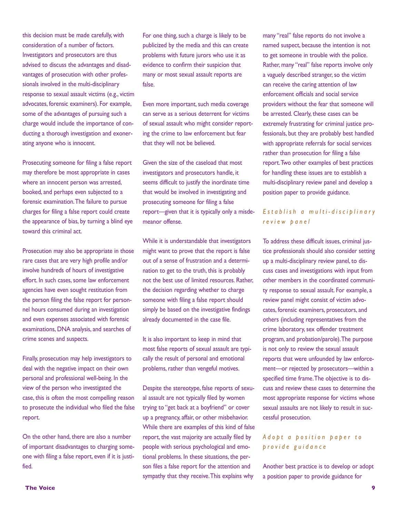this decision must be made carefully, with consideration of a number of factors. Investigators and prosecutors are thus advised to discuss the advantages and disadvantages of prosecution with other professionals involved in the multi-disciplinary response to sexual assault victims (e.g., victim advocates, forensic examiners). For example, some of the advantages of pursuing such a charge would include the importance of conducting a thorough investigation and exonerating anyone who is innocent.

Prosecuting someone for filing a false report may therefore be most appropriate in cases where an innocent person was arrested, booked, and perhaps even subjected to a forensic examination. The failure to pursue charges for filing a false report could create the appearance of bias, by turning a blind eye toward this criminal act.

Prosecution may also be appropriate in those rare cases that are very high profile and/or involve hundreds of hours of investigative effort. In such cases, some law enforcement agencies have even sought restitution from the person filing the false report for personnel hours consumed during an investigation and even expenses associated with forensic examinations, DNA analysis, and searches of crime scenes and suspects.

Finally, prosecution may help investigators to deal with the negative impact on their own personal and professional well-being. In the view of the person who investigated the case, this is often the most compelling reason to prosecute the individual who filed the false report.

On the other hand, there are also a number of important disadvantages to charging someone with filing a false report, even if it is justified.

For one thing, such a charge is likely to be publicized by the media and this can create problems with future jurors who use it as evidence to confirm their suspicion that many or most sexual assault reports are false.

Even more important, such media coverage can serve as a serious deterrent for victims of sexual assault who might consider reporting the crime to law enforcement but fear that they will not be believed.

Given the size of the caseload that most investigators and prosecutors handle, it seems difficult to justify the inordinate time that would be involved in investigating and prosecuting someone for filing a false report—given that it is typically only a misdemeanor offense.

While it is understandable that investigators might want to prove that the report is false out of a sense of frustration and a determination to get to the truth, this is probably not the best use of limited resources. Rather, the decision regarding whether to charge someone with filing a false report should simply be based on the investigative findings already documented in the case file.

It is also important to keep in mind that most false reports of sexual assault are typically the result of personal and emotional problems, rather than vengeful motives.

Despite the stereotype, false reports of sexual assault are not typically filed by women trying to "get back at a boyfriend" or cover up a pregnancy, affair, or other misbehavior. While there are examples of this kind of false report, the vast majority are actually filed by people with serious psychological and emotional problems. In these situations, the person files a false report for the attention and sympathy that they receive. This explains why

many "real" false reports do not involve a named suspect, because the intention is not to get someone in trouble with the police. Rather, many "real" false reports involve only a vaguely described stranger, so the victim can receive the caring attention of law enforcement officials and social service providers without the fear that someone will be arrested. Clearly, these cases can be extremely frustrating for criminal justice professionals, but they are probably best handled with appropriate referrals for social services rather than prosecution for filing a false report. Two other examples of best practices for handling these issues are to establish a multi-disciplinary review panel and develop a position paper to provide guidance.

#### *E s t a b l i s h a m u l t i - d i s c i p l i n a r y r e v i e w p a n e l*

To address these difficult issues, criminal justice professionals should also consider setting up a multi-disciplinary review panel, to discuss cases and investigations with input from other members in the coordinated community response to sexual assault. For example, a review panel might consist of victim advocates, forensic examiners, prosecutors, and others (including representatives from the crime laboratory, sex offender treatment program, and probation/parole). The purpose is not only to review the sexual assault reports that were unfounded by law enforcement—or rejected by prosecutors—within a specified time frame. The objective is to discuss and review these cases to determine the most appropriate response for victims whose sexual assaults are not likely to result in successful prosecution.

#### *A d o p t a p o s i t i o n p a p e r t o p r o v i d e g u i d a n c e*

Another best practice is to develop or adopt a position paper to provide guidance for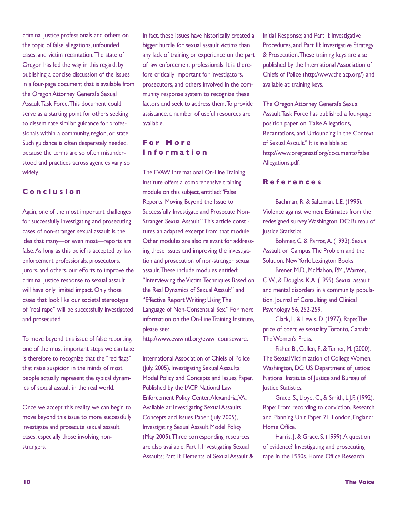criminal justice professionals and others on the topic of false allegations, unfounded cases, and victim recantation. The state of Oregon has led the way in this regard, by publishing a concise discussion of the issues in a four-page document that is available from the Oregon Attorney General's Sexual Assault Task Force. This document could serve as a starting point for others seeking to disseminate similar guidance for professionals within a community, region, or state. Such guidance is often desperately needed, because the terms are so often misunderstood and practices across agencies vary so widely.

#### **C o n c l u s i o n**

Again, one of the most important challenges for successfully investigating and prosecuting cases of non-stranger sexual assault is the idea that many—or even most—reports are false. As long as this belief is accepted by law enforcement professionals, prosecutors, jurors, and others, our efforts to improve the criminal justice response to sexual assault will have only limited impact. Only those cases that look like our societal stereotype of "real rape" will be successfully investigated and prosecuted.

To move beyond this issue of false reporting, one of the most important steps we can take is therefore to recognize that the "red flags" that raise suspicion in the minds of most people actually represent the typical dynamics of sexual assault in the real world.

Once we accept this reality, we can begin to move beyond this issue to more successfully investigate and prosecute sexual assault cases, especially those involving nonstrangers.

In fact, these issues have historically created a bigger hurdle for sexual assault victims than any lack of training or experience on the part of law enforcement professionals. It is therefore critically important for investigators, prosecutors, and others involved in the community response system to recognize these factors and seek to address them. To provide assistance, a number of useful resources are available.

#### **F o r M o r e I n f o r m a t i o n**

The EVAW International On-Line Training Institute offers a comprehensive training module on this subject, entitled: "False Reports: Moving Beyond the Issue to Successfully Investigate and Prosecute Non-Stranger Sexual Assault." This article constitutes an adapted excerpt from that module. Other modules are also relevant for addressing these issues and improving the investigation and prosecution of non-stranger sexual assault. These include modules entitled: "Interviewing the Victim: Techniques Based on the Real Dynamics of Sexual Assault" and "Effective Report Writing: Using The Language of Non-Consensual Sex." For more information on the On-Line Training Institute, please see:

http://www.evawintl.org/evaw\_courseware.

International Association of Chiefs of Police (July, 2005). Investigating Sexual Assaults: Model Policy and Concepts and Issues Paper. Published by the IACP National Law Enforcement Policy Center, Alexandria, VA. Available at: Investigating Sexual Assaults Concepts and Issues Paper (July 2005), Investigating Sexual Assault Model Policy (May 2005). Three corresponding resources are also available: Part I: Investigating Sexual Assaults; Part II: Elements of Sexual Assault & Initial Response; and Part II: Investigative Procedures, and Part III: Investigative Strategy & Prosecution. These training keys are also published by the International Association of Chiefs of Police (http://www.theiacp.org/) and available at: training keys.

The Oregon Attorney General's Sexual Assault Task Force has published a four-page position paper on "False Allegations, Recantations, and Unfounding in the Context of Sexual Assault." It is available at: http://www.oregonsatf.org/documents/False\_ Allegations.pdf.

#### **R e f e r e n c e s**

Bachman, R. & Saltzman, L.E. (1995). Violence against women: Estimates from the redesigned survey. Washington, DC: Bureau of Justice Statistics.

Bohmer, C. & Parrot, A. (1993). Sexual Assault on Campus: The Problem and the Solution. New York: Lexington Books.

Brener, M.D., McMahon, P.M., Warren, C.W., & Douglas, K.A. (1999). Sexual assault and mental disorders in a community population. Journal of Consulting and Clinical Psychology, 56, 252-259.

Clark, L. & Lewis, D. (1977). Rape: The price of coercive sexuality. Toronto, Canada: The Women's Press.

Fisher, B., Cullen, F., & Turner, M. (2000). The Sexual Victimization of College Women. Washington, DC: US Department of Justice: National Institute of Justice and Bureau of **Justice Statistics.** 

Grace, S., Lloyd, C., & Smith, L.J.F. (1992). Rape: From recording to conviction. Research and Planning Unit Paper 71. London, England: Home Office.

Harris, J. & Grace, S. (1999). A question of evidence? Investigating and prosecuting rape in the 1990s. Home Office Research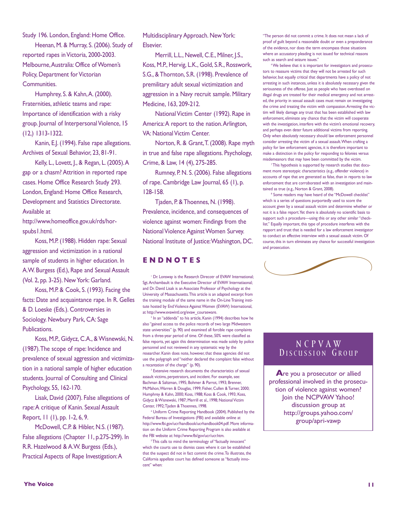Study 196. London, England: Home Office.

Heenan, M. & Murray, S. (2006). Study of reported rapes in Victoria, 2000-2003. Melbourne, Australia: Office of Women's Policy, Department for Victorian Communities.

Humphrey, S. & Kahn, A. (2000). Fraternities, athletic teams and rape: Importance of identification with a risky group. Journal of Interpersonal Violence, 15 (12,) 1313-1322.

Kanin, E.J. (1994). False rape allegations. Archives of Sexual Behavior, 23, 81-91.

Kelly, L., Lovett, J., & Regan, L. (2005). A gap or a chasm? Attrition in reported rape cases. Home Office Research Study 293. London, England: Home Office Research, Development and Statistics Directorate. Available at

http://www.homeoffice.gov.uk/rds/horspubs1.html.

Koss, M.P. (1988). Hidden rape: Sexual aggression and victimization in a national sample of students in higher education. In A.W. Burgess (Ed.), Rape and Sexual Assault (Vol. 2, pp. 3-25). New York: Garland.

Koss, M.P. & Cook, S. (1993). Facing the facts: Date and acquaintance rape. In R. Gelles & D. Loeske (Eds.). Controversies in Sociology. Newbury Park, CA: Sage Publications.

Koss, M.P., Gidycz, C.A., & Wisnewski, N. (1987). The scope of rape: Incidence and prevalence of sexual aggression and victimization in a national sample of higher education students. Journal of Consulting and Clinical Psychology, 55, 162-170.

Lisak, David (2007). False allegations of rape: A critique of Kanin. Sexual Assault Report, 11 (1), pp. 1-2, 6, 9.

McDowell, C.P. & Hibler, N.S. (1987). False allegations (Chapter 11, p.275-299). In R.R. Hazelwood & A.W. Burgess (Eds.), Practical Aspects of Rape Investigation: A

Multidisciplinary Approach. New York: Elsevier.

Merrill, L.L., Newell, C.E., Milner, J.S., Koss, M.P., Hervig, L.K., Gold, S.R., Rosswork, S.G., & Thornton, S.R. (1998). Prevalence of premilitary adult sexual victimization and aggression in a Navy recruit sample. Military Medicine, 163, 209-212.

National Victim Center (1992). Rape in America: A report to the nation. Arlington, VA: National Victim Center.

Norton, R. & Grant, T. (2008). Rape myth in true and false rape allegations. Psychology, Crime, & Law, 14 (4), 275-285.

Rumney, P. N. S. (2006). False allegations of rape. Cambridge Law Journal, 65 (1), p. 128-158.

Tjaden, P. & Thoennes, N. (1998). Prevalence, incidence, and consequences of violence against women: Findings from the National Violence Against Women Survey. National Institute of Justice: Washington, DC.

#### **E N D N O T E S**

<sup>1</sup> Dr. Lonsway is the Research Direcotr of EVAW International; Sgt. Archambault is the Executive Director of EVAW Internatiaonal; and Dr. David Lisak is an Associate Professor of Psychology at the University of Massachusetts. This article is an adapted excerpt from the training module of the same name in the On-Line Training institute hosted by End Violence Against Women (EVAW) International, at http://www.evawintl.org/evaw\_courseware.

In an "addenda" to his article, Kanin (1994) describes how he also "gained access to the police records of two large Midwestern state universities" (p. 90) and examined all forcible rape complaints from a three-year period of time. Of these, 50% were classified as false reports, yet again this determination was made solely by police personnel and not reviewed in any systematic way by the researcher. Kanin does note, however, that these agencies did not use the polygraph and "neither declared the complaint false without a recantation of the charge" (p. 90).

<sup>3</sup> Extensive research documents the characteristics of sexual assault victims, perpetrators, and incident. For example, see: Bachman & Saltzman, 1995; Bohmer & Parrot, 1993; Brenner, McMahon, Warren & Douglas, 1999; Fisher, Cullen & Turner, 2000; Humphrey & Kahn, 2000; Koss, 1988; Koss & Cook, 1993; Koss, Gidycz & Wisnewski, 1987; Merrill et al., 1998; National Victim Center, 1992; Tjaden & Thoennes, 1998.

<sup>4</sup> Uniform Crime Reporting Handbook (2004). Published by the Federal Bureau of Investigations (FBI) and available online at http://www.fbi.gov/ucr/handbook/ucrhandbook04.pdf. More information on the Uniform Crime Reporting Program is also available at the FBI website at: http://www.fbi/gov/ucr/ucr.htm.

<sup>5</sup>This calls to mind the terminology of "factually innocent" which the courts use to dismiss cases where it can be established that the suspect did not in fact commit the crime. To illustrate, the California appellate court has defined someone as "factually innocent" when:

"The person did not commit a crime. It does not mean a lack of proof of guilt beyond a reasonable doubt or even a preponderance of the evidence, nor does the term encompass those situations where an accusatory pleading is not issued for technical reasons such as search and seizure issues." 6We believe that it is important for investigators and prosecu-

tors to reassure victims that they will not be arrested for such behavior, but equally critical that departments have a policy of not arresting in such instances, unless it is absolutely necessary given the seriousness of the offense. Just as people who have overdosed on illegal drugs are treated for their medical emergency and not arrested, the priority in sexual assault cases must remain on investigating the crime and treating the victim with compassion. Arresting the victim will likely damage any trust that has been established with law enforcement, eliminate any chance that the victim will cooperate with the investigation, interfere with the victim's emotional recovery, and perhaps even deter future additional victims from reporting. Only when absolutely necessary should law enforcement personnel consider arresting the victim of a sexual assault. When crafting a policy for law enforcement agencies, it is therefore important to make a distinction in the policy for responding to felonies versus misdemeanors that may have been committed by the victim.

<sup>7</sup> This hypothesis is supported by research studies that document more stereotypic characteristics (e.g., offender violence) in accounts of rape that are generated as false, than in reports to law enforcement that are corroborated with an investigation and maintained as true (e.g., Norton & Grant, 2008).

<sup>8</sup> Some readers may have heard of the "McDowell checklist" which is a series of questions purportedly used to score the account given by a sexual assault victim and determine whether or not it is a false report. Yet there is absolutely no scientific basis to support such a procedure—using this or any other similar "checklist." Equally important, this type of procedure interferes with the rapport and trust that is needed for a law enforcement investigator to conduct an effective interview with a sexual assault victim. Of course, this in turn eliminates any chance for successful investigation and prosecution.



#### N C P V A W DISCUSSION GROUP

**A**re you a prosecutor or allied professional involved in the prosecution of violence against women? Join the NCPVAW Yahoo! discussion group at http://groups.yahoo.com/ group/apri-vawp